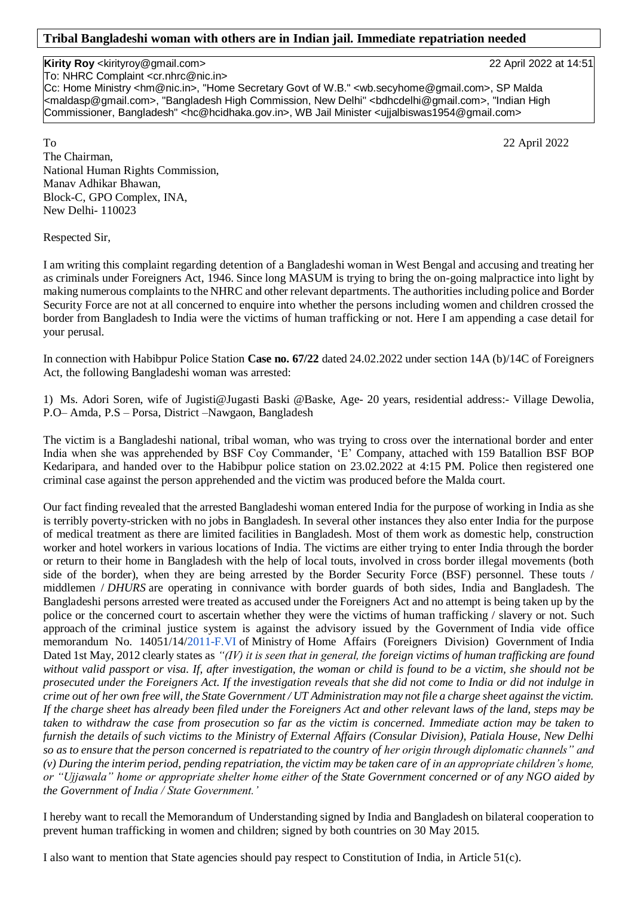## **Tribal Bangladeshi woman with others are in Indian jail. Immediate repatriation needed**

## **Kirity Roy** <kirityroy@gmail.com> 22 April 2022 at 14:51

To: NHRC Complaint <cr.nhrc@nic.in>

Cc: Home Ministry <hm@nic.in>, "Home Secretary Govt of W.B." <wb.secyhome@gmail.com>, SP Malda <maldasp@gmail.com>, "Bangladesh High Commission, New Delhi" <bdhcdelhi@gmail.com>, "Indian High Commissioner, Bangladesh" <hc@hcidhaka.gov.in>, WB Jail Minister <ujjalbiswas1954@gmail.com>

To 22 April 2022 The Chairman, National Human Rights Commission, Manav Adhikar Bhawan, Block-C, GPO Complex, INA, New Delhi- 110023

Respected Sir,

I am writing this complaint regarding detention of a Bangladeshi woman in West Bengal and accusing and treating her as criminals under Foreigners Act, 1946. Since long MASUM is trying to bring the on-going malpractice into light by making numerous complaints to the NHRC and other relevant departments. The authorities including police and Border Security Force are not at all concerned to enquire into whether the persons including women and children crossed the border from Bangladesh to India were the victims of human trafficking or not. Here I am appending a case detail for your perusal.

In connection with Habibpur Police Station **Case no. 67/22** dated 24.02.2022 under section 14A (b)/14C of Foreigners Act, the following Bangladeshi woman was arrested:

1) Ms. Adori Soren, wife of Jugisti@Jugasti Baski @Baske, Age- 20 years, residential address:- Village Dewolia, P.O– Amda, P.S – Porsa, District –Nawgaon, Bangladesh

The victim is a Bangladeshi national, tribal woman, who was trying to cross over the international border and enter India when she was apprehended by BSF Coy Commander, 'E' Company, attached with 159 Batallion BSF BOP Kedaripara, and handed over to the Habibpur police station on 23.02.2022 at 4:15 PM. Police then registered one criminal case against the person apprehended and the victim was produced before the Malda court.

Our fact finding revealed that the arrested Bangladeshi woman entered India for the purpose of working in India as she is terribly poverty-stricken with no jobs in Bangladesh. In several other instances they also enter India for the purpose of medical treatment as there are limited facilities in Bangladesh. Most of them work as domestic help, construction worker and hotel workers in various locations of India. The victims are either trying to enter India through the border or return to their home in Bangladesh with the help of local touts, involved in cross border illegal movements (both side of the border), when they are being arrested by the Border Security Force (BSF) personnel. These touts / middlemen / *DHURS* are operating in connivance with border guards of both sides, India and Bangladesh. The Bangladeshi persons arrested were treated as accused under the Foreigners Act and no attempt is being taken up by the police or the concerned court to ascertain whether they were the victims of human trafficking / slavery or not. Such approach of the criminal justice system is against the advisory issued by the Government of India vide office memorandum No. 14051/14[/2011-F.VI](http://2011-f.vi/) of Ministry of Home Affairs (Foreigners Division) Government of India Dated 1st May, 2012 clearly states as *"(IV) it is seen that in general, the foreign victims of human trafficking are found without valid passport or visa. If, after investigation, the woman or child is found to be a victim, she should not be prosecuted under the Foreigners Act. If the investigation reveals that she did not come to India or did not indulge in crime out of her own free will, the State Government / UT Administration may not file a charge sheet against the victim. If the charge sheet has already been filed under the Foreigners Act and other relevant laws of the land, steps may be taken to withdraw the case from prosecution so far as the victim is concerned. Immediate action may be taken to furnish the details of such victims to the Ministry of External Affairs (Consular Division), Patiala House, New Delhi so as to ensure that the person concerned is repatriated to the country of her origin through diplomatic channels" and (v) During the interim period, pending repatriation, the victim may be taken care of in an appropriate children's home, or "Ujjawala" home or appropriate shelter home either of the State Government concerned or of any NGO aided by the Government of India / State Government.'*

I hereby want to recall the Memorandum of Understanding signed by India and Bangladesh on bilateral cooperation to prevent human trafficking in women and children; signed by both countries on 30 May 2015.

I also want to mention that State agencies should pay respect to Constitution of India, in Article 51(c).